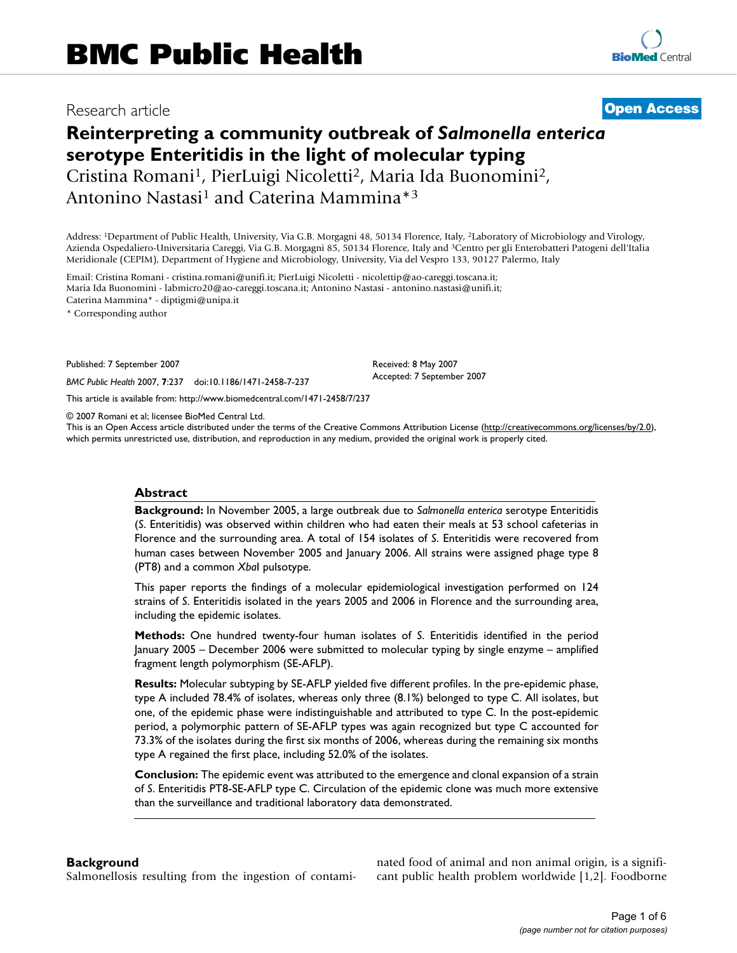# Research article **[Open Access](http://www.biomedcentral.com/info/about/charter/)**

# **Reinterpreting a community outbreak of** *Salmonella enterica*  **serotype Enteritidis in the light of molecular typing** Cristina Romani1, PierLuigi Nicoletti2, Maria Ida Buonomini2, Antonino Nastasi<sup>1</sup> and Caterina Mammina\*<sup>3</sup>

Address: 1Department of Public Health, University, Via G.B. Morgagni 48, 50134 Florence, Italy, 2Laboratory of Microbiology and Virology, Azienda Ospedaliero-Universitaria Careggi, Via G.B. Morgagni 85, 50134 Florence, Italy and 3Centro per gli Enterobatteri Patogeni dell'Italia Meridionale (CEPIM), Department of Hygiene and Microbiology, University, Via del Vespro 133, 90127 Palermo, Italy

Email: Cristina Romani - cristina.romani@unifi.it; PierLuigi Nicoletti - nicolettip@ao-careggi.toscana.it; Maria Ida Buonomini - labmicro20@ao-careggi.toscana.it; Antonino Nastasi - antonino.nastasi@unifi.it; Caterina Mammina\* - diptigmi@unipa.it

\* Corresponding author

Published: 7 September 2007

*BMC Public Health* 2007, **7**:237 doi:10.1186/1471-2458-7-237

[This article is available from: http://www.biomedcentral.com/1471-2458/7/237](http://www.biomedcentral.com/1471-2458/7/237)

© 2007 Romani et al; licensee BioMed Central Ltd.

This is an Open Access article distributed under the terms of the Creative Commons Attribution License [\(http://creativecommons.org/licenses/by/2.0\)](http://creativecommons.org/licenses/by/2.0), which permits unrestricted use, distribution, and reproduction in any medium, provided the original work is properly cited.

Received: 8 May 2007 Accepted: 7 September 2007

#### **Abstract**

**Background:** In November 2005, a large outbreak due to *Salmonella enterica* serotype Enteritidis (*S*. Enteritidis) was observed within children who had eaten their meals at 53 school cafeterias in Florence and the surrounding area. A total of 154 isolates of *S*. Enteritidis were recovered from human cases between November 2005 and January 2006. All strains were assigned phage type 8 (PT8) and a common *Xba*I pulsotype.

This paper reports the findings of a molecular epidemiological investigation performed on 124 strains of *S*. Enteritidis isolated in the years 2005 and 2006 in Florence and the surrounding area, including the epidemic isolates.

**Methods:** One hundred twenty-four human isolates of *S*. Enteritidis identified in the period January 2005 – December 2006 were submitted to molecular typing by single enzyme – amplified fragment length polymorphism (SE-AFLP).

**Results:** Molecular subtyping by SE-AFLP yielded five different profiles. In the pre-epidemic phase, type A included 78.4% of isolates, whereas only three (8.1%) belonged to type C. All isolates, but one, of the epidemic phase were indistinguishable and attributed to type C. In the post-epidemic period, a polymorphic pattern of SE-AFLP types was again recognized but type C accounted for 73.3% of the isolates during the first six months of 2006, whereas during the remaining six months type A regained the first place, including 52.0% of the isolates.

**Conclusion:** The epidemic event was attributed to the emergence and clonal expansion of a strain of *S*. Enteritidis PT8-SE-AFLP type C. Circulation of the epidemic clone was much more extensive than the surveillance and traditional laboratory data demonstrated.

#### **Background**

Salmonellosis resulting from the ingestion of contami-

nated food of animal and non animal origin, is a significant public health problem worldwide [1,[2](#page-4-0)]. Foodborne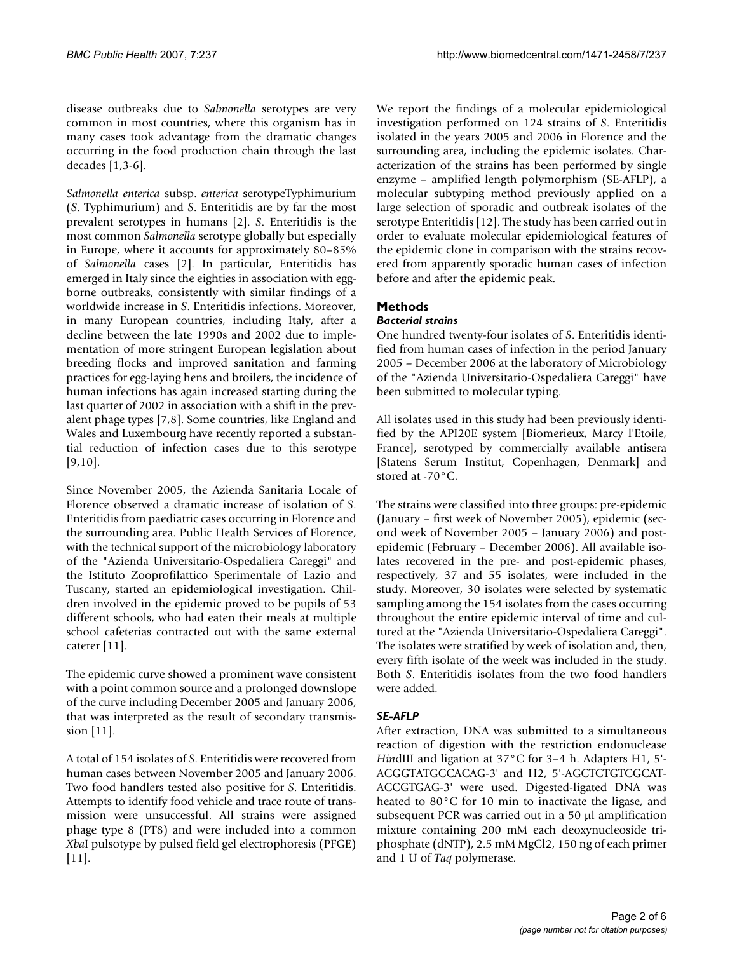disease outbreaks due to *Salmonella* serotypes are very common in most countries, where this organism has in many cases took advantage from the dramatic changes occurring in the food production chain through the last decades [1,3-6].

*Salmonella enterica* subsp. *enterica* serotypeTyphimurium (*S*. Typhimurium) and *S*. Enteritidis are by far the most prevalent serotypes in humans [[2](#page-4-0)]. *S*. Enteritidis is the most common *Salmonella* serotype globally but especially in Europe, where it accounts for approximately 80–85% of *Salmonella* cases [\[2\]](#page-4-0). In particular, Enteritidis has emerged in Italy since the eighties in association with eggborne outbreaks, consistently with similar findings of a worldwide increase in *S*. Enteritidis infections. Moreover, in many European countries, including Italy, after a decline between the late 1990s and 2002 due to implementation of more stringent European legislation about breeding flocks and improved sanitation and farming practices for egg-laying hens and broilers, the incidence of human infections has again increased starting during the last quarter of 2002 in association with a shift in the prevalent phage types [[7](#page-4-1),[8\]](#page-4-2). Some countries, like England and Wales and Luxembourg have recently reported a substantial reduction of infection cases due to this serotype [[9](#page-4-3)[,10](#page-4-4)].

Since November 2005, the Azienda Sanitaria Locale of Florence observed a dramatic increase of isolation of *S*. Enteritidis from paediatric cases occurring in Florence and the surrounding area. Public Health Services of Florence, with the technical support of the microbiology laboratory of the "Azienda Universitario-Ospedaliera Careggi" and the Istituto Zooprofilattico Sperimentale of Lazio and Tuscany, started an epidemiological investigation. Children involved in the epidemic proved to be pupils of 53 different schools, who had eaten their meals at multiple school cafeterias contracted out with the same external caterer [11].

The epidemic curve showed a prominent wave consistent with a point common source and a prolonged downslope of the curve including December 2005 and January 2006, that was interpreted as the result of secondary transmission [11].

A total of 154 isolates of *S*. Enteritidis were recovered from human cases between November 2005 and January 2006. Two food handlers tested also positive for *S*. Enteritidis. Attempts to identify food vehicle and trace route of transmission were unsuccessful. All strains were assigned phage type 8 (PT8) and were included into a common *Xba*I pulsotype by pulsed field gel electrophoresis (PFGE) [11].

We report the findings of a molecular epidemiological investigation performed on 124 strains of *S*. Enteritidis isolated in the years 2005 and 2006 in Florence and the surrounding area, including the epidemic isolates. Characterization of the strains has been performed by single enzyme – amplified length polymorphism (SE-AFLP), a molecular subtyping method previously applied on a large selection of sporadic and outbreak isolates of the serotype Enteritidis [12]. The study has been carried out in order to evaluate molecular epidemiological features of the epidemic clone in comparison with the strains recovered from apparently sporadic human cases of infection before and after the epidemic peak.

## **Methods**

### *Bacterial strains*

One hundred twenty-four isolates of *S*. Enteritidis identified from human cases of infection in the period January 2005 – December 2006 at the laboratory of Microbiology of the "Azienda Universitario-Ospedaliera Careggi" have been submitted to molecular typing.

All isolates used in this study had been previously identified by the API20E system [Biomerieux, Marcy l'Etoile, France], serotyped by commercially available antisera [Statens Serum Institut, Copenhagen, Denmark] and stored at -70°C.

The strains were classified into three groups: pre-epidemic (January – first week of November 2005), epidemic (second week of November 2005 – January 2006) and postepidemic (February – December 2006). All available isolates recovered in the pre- and post-epidemic phases, respectively, 37 and 55 isolates, were included in the study. Moreover, 30 isolates were selected by systematic sampling among the 154 isolates from the cases occurring throughout the entire epidemic interval of time and cultured at the "Azienda Universitario-Ospedaliera Careggi". The isolates were stratified by week of isolation and, then, every fifth isolate of the week was included in the study. Both *S*. Enteritidis isolates from the two food handlers were added.

#### *SE-AFLP*

After extraction, DNA was submitted to a simultaneous reaction of digestion with the restriction endonuclease *Hin*dIII and ligation at 37°C for 3–4 h. Adapters H1, 5'- ACGGTATGCCACAG-3' and H2, 5'-AGCTCTGTCGCAT-ACCGTGAG-3' were used. Digested-ligated DNA was heated to 80°C for 10 min to inactivate the ligase, and subsequent PCR was carried out in a 50 µl amplification mixture containing 200 mM each deoxynucleoside triphosphate (dNTP), 2.5 mM MgCl2, 150 ng of each primer and 1 U of *Taq* polymerase.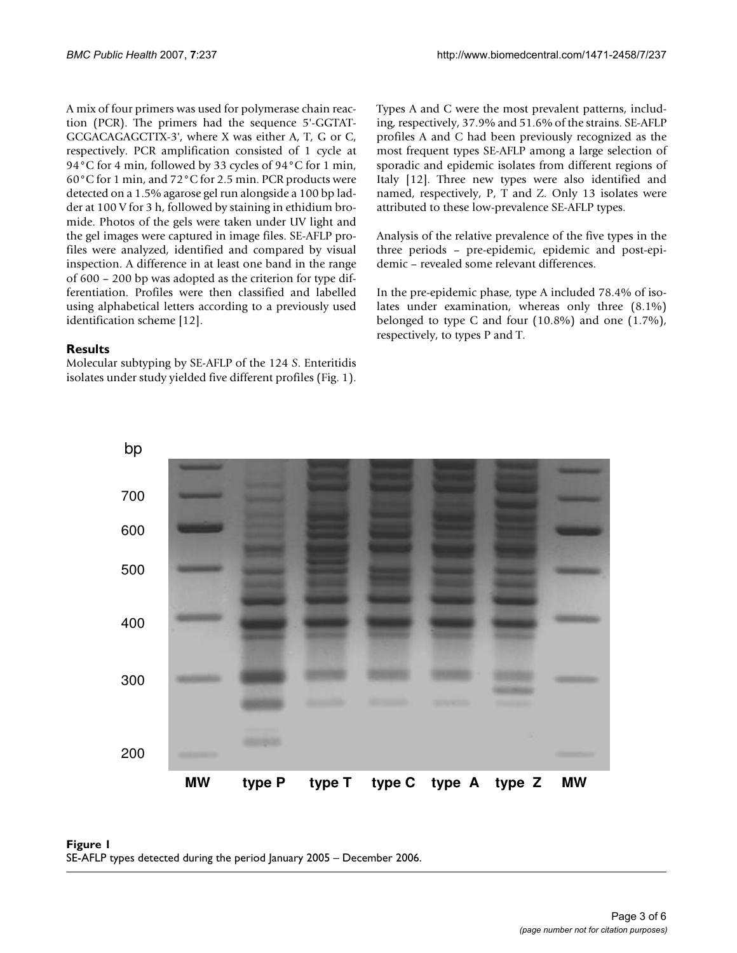A mix of four primers was used for polymerase chain reaction (PCR). The primers had the sequence 5'-GGTAT-GCGACAGAGCTTX-3', where X was either A, T, G or C, respectively. PCR amplification consisted of 1 cycle at 94°C for 4 min, followed by 33 cycles of 94°C for 1 min, 60°C for 1 min, and 72°C for 2.5 min. PCR products were detected on a 1.5% agarose gel run alongside a 100 bp ladder at 100 V for 3 h, followed by staining in ethidium bromide. Photos of the gels were taken under UV light and the gel images were captured in image files. SE-AFLP profiles were analyzed, identified and compared by visual inspection. A difference in at least one band in the range of 600 – 200 bp was adopted as the criterion for type differentiation. Profiles were then classified and labelled using alphabetical letters according to a previously used identification scheme [12].

### **Results**

Molecular subtyping by SE-AFLP of the 124 *S*. Enteritidis isolates under study yielded five different profiles (Fig. 1). Types A and C were the most prevalent patterns, including, respectively, 37.9% and 51.6% of the strains. SE-AFLP profiles A and C had been previously recognized as the most frequent types SE-AFLP among a large selection of sporadic and epidemic isolates from different regions of Italy [12]. Three new types were also identified and named, respectively, P, T and Z. Only 13 isolates were attributed to these low-prevalence SE-AFLP types.

Analysis of the relative prevalence of the five types in the three periods – pre-epidemic, epidemic and post-epidemic – revealed some relevant differences.

In the pre-epidemic phase, type A included 78.4% of isolates under examination, whereas only three (8.1%) belonged to type C and four (10.8%) and one (1.7%), respectively, to types P and T.



#### **Figure 1** SE-AFLP types detected during the period January 2005 – December 2006.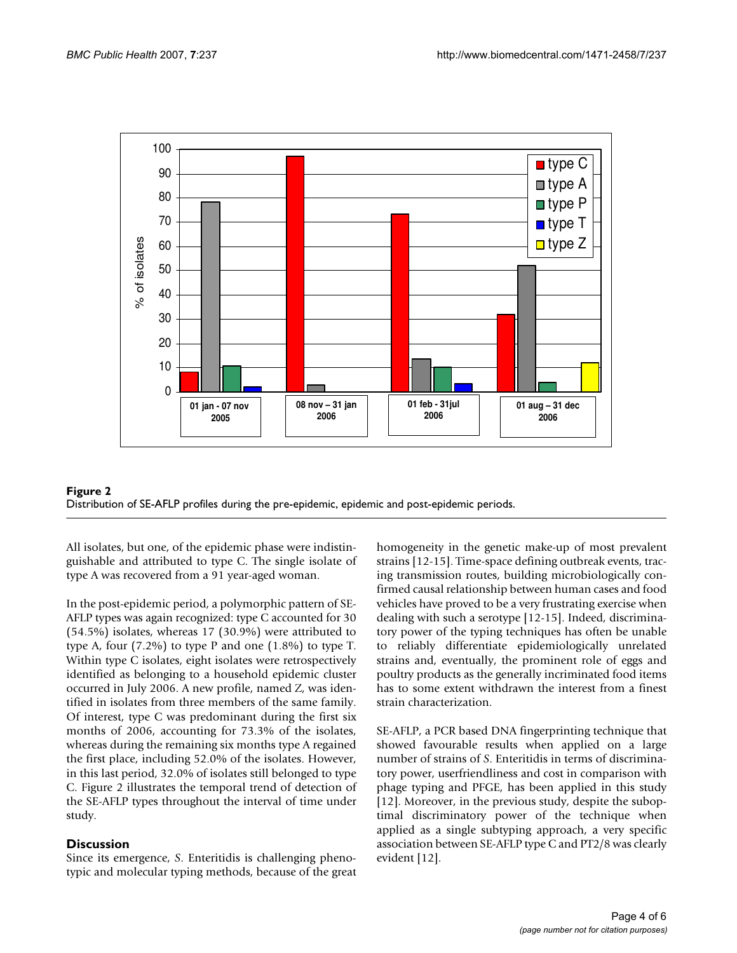



All isolates, but one, of the epidemic phase were indistinguishable and attributed to type C. The single isolate of type A was recovered from a 91 year-aged woman.

In the post-epidemic period, a polymorphic pattern of SE-AFLP types was again recognized: type C accounted for 30 (54.5%) isolates, whereas 17 (30.9%) were attributed to type A, four (7.2%) to type P and one (1.8%) to type T. Within type C isolates, eight isolates were retrospectively identified as belonging to a household epidemic cluster occurred in July 2006. A new profile, named Z, was identified in isolates from three members of the same family. Of interest, type C was predominant during the first six months of 2006, accounting for 73.3% of the isolates, whereas during the remaining six months type A regained the first place, including 52.0% of the isolates. However, in this last period, 32.0% of isolates still belonged to type C. Figure 2 illustrates the temporal trend of detection of the SE-AFLP types throughout the interval of time under study.

#### **Discussion**

Since its emergence, *S*. Enteritidis is challenging phenotypic and molecular typing methods, because of the great homogeneity in the genetic make-up of most prevalent strains [12-15]. Time-space defining outbreak events, tracing transmission routes, building microbiologically confirmed causal relationship between human cases and food vehicles have proved to be a very frustrating exercise when dealing with such a serotype [12-15]. Indeed, discriminatory power of the typing techniques has often be unable to reliably differentiate epidemiologically unrelated strains and, eventually, the prominent role of eggs and poultry products as the generally incriminated food items has to some extent withdrawn the interest from a finest strain characterization.

SE-AFLP, a PCR based DNA fingerprinting technique that showed favourable results when applied on a large number of strains of *S*. Enteritidis in terms of discriminatory power, userfriendliness and cost in comparison with phage typing and PFGE, has been applied in this study [12]. Moreover, in the previous study, despite the suboptimal discriminatory power of the technique when applied as a single subtyping approach, a very specific association between SE-AFLP type C and PT2/8 was clearly evident [12].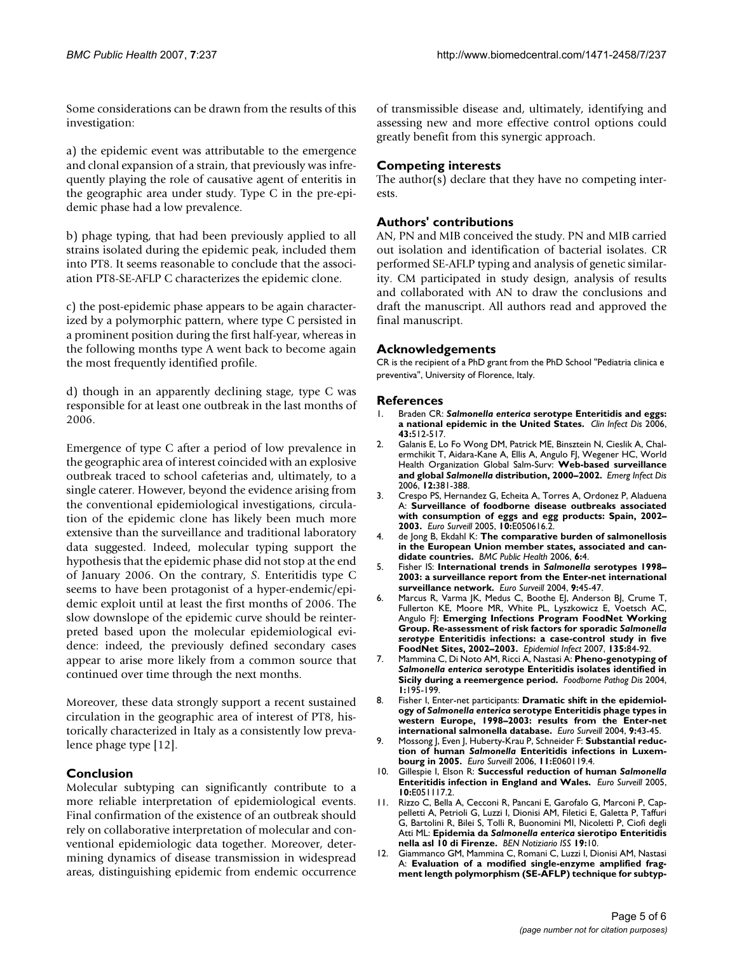Some considerations can be drawn from the results of this investigation:

a) the epidemic event was attributable to the emergence and clonal expansion of a strain, that previously was infrequently playing the role of causative agent of enteritis in the geographic area under study. Type C in the pre-epidemic phase had a low prevalence.

b) phage typing, that had been previously applied to all strains isolated during the epidemic peak, included them into PT8. It seems reasonable to conclude that the association PT8-SE-AFLP C characterizes the epidemic clone.

c) the post-epidemic phase appears to be again characterized by a polymorphic pattern, where type C persisted in a prominent position during the first half-year, whereas in the following months type A went back to become again the most frequently identified profile.

d) though in an apparently declining stage, type C was responsible for at least one outbreak in the last months of 2006.

Emergence of type C after a period of low prevalence in the geographic area of interest coincided with an explosive outbreak traced to school cafeterias and, ultimately, to a single caterer. However, beyond the evidence arising from the conventional epidemiological investigations, circulation of the epidemic clone has likely been much more extensive than the surveillance and traditional laboratory data suggested. Indeed, molecular typing support the hypothesis that the epidemic phase did not stop at the end of January 2006. On the contrary, *S*. Enteritidis type C seems to have been protagonist of a hyper-endemic/epidemic exploit until at least the first months of 2006. The slow downslope of the epidemic curve should be reinterpreted based upon the molecular epidemiological evidence: indeed, the previously defined secondary cases appear to arise more likely from a common source that continued over time through the next months.

Moreover, these data strongly support a recent sustained circulation in the geographic area of interest of PT8, historically characterized in Italy as a consistently low prevalence phage type [12].

#### **Conclusion**

Molecular subtyping can significantly contribute to a more reliable interpretation of epidemiological events. Final confirmation of the existence of an outbreak should rely on collaborative interpretation of molecular and conventional epidemiologic data together. Moreover, determining dynamics of disease transmission in widespread areas, distinguishing epidemic from endemic occurrence of transmissible disease and, ultimately, identifying and assessing new and more effective control options could greatly benefit from this synergic approach.

### **Competing interests**

The author(s) declare that they have no competing interests.

#### **Authors' contributions**

AN, PN and MIB conceived the study. PN and MIB carried out isolation and identification of bacterial isolates. CR performed SE-AFLP typing and analysis of genetic similarity. CM participated in study design, analysis of results and collaborated with AN to draw the conclusions and draft the manuscript. All authors read and approved the final manuscript.

#### **Acknowledgements**

CR is the recipient of a PhD grant from the PhD School "Pediatria clinica e preventiva", University of Florence, Italy.

#### **References**

- 1. Braden CR: *Salmonella enterica* **[serotype Enteritidis and eggs:](http://www.ncbi.nlm.nih.gov/entrez/query.fcgi?cmd=Retrieve&db=PubMed&dopt=Abstract&list_uids=16838242) [a national epidemic in the United States.](http://www.ncbi.nlm.nih.gov/entrez/query.fcgi?cmd=Retrieve&db=PubMed&dopt=Abstract&list_uids=16838242)** *Clin Infect Dis* 2006, **43:**512-517.
- <span id="page-4-0"></span>2. Galanis E, Lo Fo Wong DM, Patrick ME, Binsztein N, Cieslik A, Chalermchikit T, Aidara-Kane A, Ellis A, Angulo FJ, Wegener HC, World Health Organization Global Salm-Surv: **Web-based surveillance and global** *Salmonella* **[distribution, 2000–2002.](http://www.ncbi.nlm.nih.gov/entrez/query.fcgi?cmd=Retrieve&db=PubMed&dopt=Abstract&list_uids=16704773)** *Emerg Infect Dis* 2006, **12:**381-388.
- 3. Crespo PS, Hernandez G, Echeita A, Torres A, Ordonez P, Aladuena A: **[Surveillance of foodborne disease outbreaks associated](http://www.ncbi.nlm.nih.gov/entrez/query.fcgi?cmd=Retrieve&db=PubMed&dopt=Abstract&list_uids=16783100) [with consumption of eggs and egg products: Spain, 2002–](http://www.ncbi.nlm.nih.gov/entrez/query.fcgi?cmd=Retrieve&db=PubMed&dopt=Abstract&list_uids=16783100) [2003.](http://www.ncbi.nlm.nih.gov/entrez/query.fcgi?cmd=Retrieve&db=PubMed&dopt=Abstract&list_uids=16783100)** *Euro Surveill* 2005, **10:**E050616.2.
- 4. de Jong B, Ekdahl K: **[The comparative burden of salmonellosis](http://www.ncbi.nlm.nih.gov/entrez/query.fcgi?cmd=Retrieve&db=PubMed&dopt=Abstract&list_uids=16403230) [in the European Union member states, associated and can](http://www.ncbi.nlm.nih.gov/entrez/query.fcgi?cmd=Retrieve&db=PubMed&dopt=Abstract&list_uids=16403230)[didate countries.](http://www.ncbi.nlm.nih.gov/entrez/query.fcgi?cmd=Retrieve&db=PubMed&dopt=Abstract&list_uids=16403230)** *BMC Public Health* 2006, **6:**4.
- 5. Fisher IS: **International trends in** *Salmonella* **[serotypes 1998–](http://www.ncbi.nlm.nih.gov/entrez/query.fcgi?cmd=Retrieve&db=PubMed&dopt=Abstract&list_uids=15591690) [2003: a surveillance report from the Enter-net international](http://www.ncbi.nlm.nih.gov/entrez/query.fcgi?cmd=Retrieve&db=PubMed&dopt=Abstract&list_uids=15591690) [surveillance network.](http://www.ncbi.nlm.nih.gov/entrez/query.fcgi?cmd=Retrieve&db=PubMed&dopt=Abstract&list_uids=15591690)** *Euro Surveill* 2004, **9:**45-47.
- 6. Marcus R, Varma JK, Medus C, Boothe EJ, Anderson BJ, Crume T, Fullerton KE, Moore MR, White PL, Lyszkowicz E, Voetsch AC, Angulo FJ: **Emerging Infections Program FoodNet Working Group. Re-assessment of risk factors for sporadic** *Salmonella serotype* **[Enteritidis infections: a case-control study in five](http://www.ncbi.nlm.nih.gov/entrez/query.fcgi?cmd=Retrieve&db=PubMed&dopt=Abstract&list_uids=16756692) [FoodNet Sites, 2002–2003.](http://www.ncbi.nlm.nih.gov/entrez/query.fcgi?cmd=Retrieve&db=PubMed&dopt=Abstract&list_uids=16756692)** *Epidemiol Infect* 2007, **135:**84-92.
- <span id="page-4-1"></span>7. Mammina C, Di Noto AM, Ricci A, Nastasi A: **Pheno-genotyping of** *Salmonella enterica* **[serotype Enteritidis isolates identified in](http://www.ncbi.nlm.nih.gov/entrez/query.fcgi?cmd=Retrieve&db=PubMed&dopt=Abstract&list_uids=15992280) [Sicily during a reemergence period.](http://www.ncbi.nlm.nih.gov/entrez/query.fcgi?cmd=Retrieve&db=PubMed&dopt=Abstract&list_uids=15992280)** *Foodborne Pathog Dis* 2004, **1:**195-199.
- <span id="page-4-2"></span>8. Fisher I, Enter-net participants: **Dramatic shift in the epidemiology of** *Salmonella enterica* **[serotype Enteritidis phage types in](http://www.ncbi.nlm.nih.gov/entrez/query.fcgi?cmd=Retrieve&db=PubMed&dopt=Abstract&list_uids=15591691) [western Europe, 1998–2003: results from the Enter-net](http://www.ncbi.nlm.nih.gov/entrez/query.fcgi?cmd=Retrieve&db=PubMed&dopt=Abstract&list_uids=15591691) [international salmonella database.](http://www.ncbi.nlm.nih.gov/entrez/query.fcgi?cmd=Retrieve&db=PubMed&dopt=Abstract&list_uids=15591691)** *Euro Surveill* 2004, **9:**43-45.
- <span id="page-4-3"></span>9. Mossong J, Even J, Huberty-Krau P, Schneider F: **Substantial reduction of human** *Salmonella* **[Enteritidis infections in Luxem](http://www.ncbi.nlm.nih.gov/entrez/query.fcgi?cmd=Retrieve&db=PubMed&dopt=Abstract&list_uids=16801710)[bourg in 2005.](http://www.ncbi.nlm.nih.gov/entrez/query.fcgi?cmd=Retrieve&db=PubMed&dopt=Abstract&list_uids=16801710)** *Euro Surveill* 2006, **11:**E060119.4.
- <span id="page-4-4"></span>10. Gillespie I, Elson R: **Successful reduction of human** *Salmonella* **[Enteritidis infection in England and Wales.](http://www.ncbi.nlm.nih.gov/entrez/query.fcgi?cmd=Retrieve&db=PubMed&dopt=Abstract&list_uids=16794281)** *Euro Surveill* 2005, **10:**E051117.2.
- 11. Rizzo C, Bella A, Cecconi R, Pancani E, Garofalo G, Marconi P, Cappelletti A, Petrioli G, Luzzi I, Dionisi AM, Filetici E, Galetta P, Taffuri G, Bartolini R, Bilei S, Tolli R, Buonomini MI, Nicoletti P, Ciofi degli Atti ML: **Epidemia da** *Salmonella enterica* **sierotipo Enteritidis nella asl 10 di Firenze.** *BEN Notiziario ISS* **19:**10.
- 12. Giammanco GM, Mammina C, Romani C, Luzzi I, Dionisi AM, Nastasi A: **Evaluation of a modified single-enzyme amplified fragment length polymorphism (SE-AFLP) technique for subtyp-**